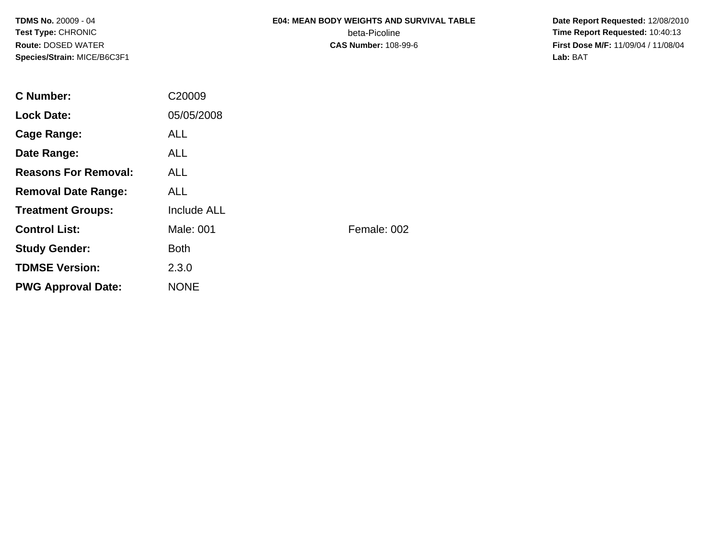## **E04: MEAN BODY WEIGHTS AND SURVIVAL TABLE**beta-Picoline<br>CAS Number: 108-99-6

 **Date Report Requested:** 12/08/2010 **Time Report Requested:** 10:40:13 **First Dose M/F:** 11/09/04 / 11/08/04<br>Lab: BAT **Lab:** BAT

| <b>C</b> Number:            | C20009             |             |
|-----------------------------|--------------------|-------------|
| <b>Lock Date:</b>           | 05/05/2008         |             |
| Cage Range:                 | ALL.               |             |
| Date Range:                 | <b>ALL</b>         |             |
| <b>Reasons For Removal:</b> | <b>ALL</b>         |             |
| <b>Removal Date Range:</b>  | <b>ALL</b>         |             |
| <b>Treatment Groups:</b>    | <b>Include ALL</b> |             |
| <b>Control List:</b>        | Male: 001          | Female: 002 |
| <b>Study Gender:</b>        | <b>Both</b>        |             |
| <b>TDMSE Version:</b>       | 2.3.0              |             |
| <b>PWG Approval Date:</b>   | <b>NONE</b>        |             |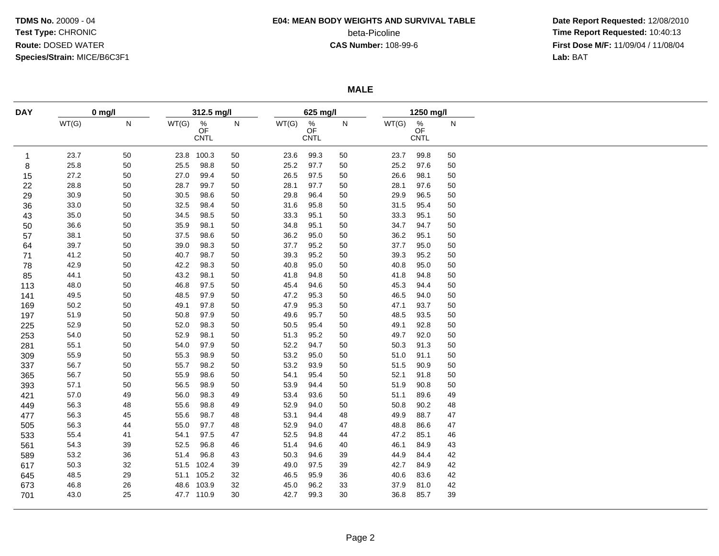## **E04: MEAN BODY WEIGHTS AND SURVIVAL TABLE**

beta-Picoline<br>CAS Number: 108-99-6

 **Date Report Requested:** 12/08/2010 **Time Report Requested:** 10:40:13 **First Dose M/F:** 11/09/04 / 11/08/04<br>Lab: BAT **Lab:** BAT

**MALE**

| <b>DAY</b>   |       | $0$ mg/l |          | 312.5 mg/l                            |    |       | 625 mg/l                                    |        |       | 1250 mg/l                      |    |  |
|--------------|-------|----------|----------|---------------------------------------|----|-------|---------------------------------------------|--------|-------|--------------------------------|----|--|
|              | WT(G) | N        | WT(G)    | $\frac{\%}{\text{OF}}$<br><b>CNTL</b> | N  | WT(G) | $\stackrel{\%}{\mathsf{OF}}$<br><b>CNTL</b> | N      | WT(G) | $\frac{\%}{\text{OF}}$<br>CNTL | N  |  |
| $\mathbf{1}$ | 23.7  | $50\,$   | 23.8     | 100.3                                 | 50 | 23.6  | 99.3                                        | $50\,$ | 23.7  | 99.8                           | 50 |  |
| 8            | 25.8  | $50\,$   | 25.5     | 98.8                                  | 50 | 25.2  | 97.7                                        | $50\,$ | 25.2  | 97.6                           | 50 |  |
| 15           | 27.2  | 50       | 27.0     | 99.4                                  | 50 | 26.5  | 97.5                                        | 50     | 26.6  | 98.1                           | 50 |  |
| 22           | 28.8  | 50       | 28.7     | 99.7                                  | 50 | 28.1  | 97.7                                        | 50     | 28.1  | 97.6                           | 50 |  |
| 29           | 30.9  | 50       | $30.5\,$ | 98.6                                  | 50 | 29.8  | 96.4                                        | $50\,$ | 29.9  | 96.5                           | 50 |  |
| 36           | 33.0  | $50\,$   | 32.5     | 98.4                                  | 50 | 31.6  | 95.8                                        | $50\,$ | 31.5  | 95.4                           | 50 |  |
| 43           | 35.0  | 50       | 34.5     | 98.5                                  | 50 | 33.3  | 95.1                                        | 50     | 33.3  | 95.1                           | 50 |  |
| 50           | 36.6  | $50\,$   | 35.9     | 98.1                                  | 50 | 34.8  | 95.1                                        | $50\,$ | 34.7  | 94.7                           | 50 |  |
| 57           | 38.1  | $50\,$   | 37.5     | 98.6                                  | 50 | 36.2  | 95.0                                        | $50\,$ | 36.2  | 95.1                           | 50 |  |
| 64           | 39.7  | 50       | 39.0     | 98.3                                  | 50 | 37.7  | 95.2                                        | $50\,$ | 37.7  | 95.0                           | 50 |  |
| 71           | 41.2  | $50\,$   | 40.7     | 98.7                                  | 50 | 39.3  | 95.2                                        | $50\,$ | 39.3  | 95.2                           | 50 |  |
| 78           | 42.9  | 50       | 42.2     | 98.3                                  | 50 | 40.8  | 95.0                                        | 50     | 40.8  | 95.0                           | 50 |  |
| 85           | 44.1  | 50       | 43.2     | 98.1                                  | 50 | 41.8  | 94.8                                        | 50     | 41.8  | 94.8                           | 50 |  |
| 113          | 48.0  | 50       | 46.8     | 97.5                                  | 50 | 45.4  | 94.6                                        | 50     | 45.3  | 94.4                           | 50 |  |
| 141          | 49.5  | $50\,$   | 48.5     | 97.9                                  | 50 | 47.2  | 95.3                                        | 50     | 46.5  | 94.0                           | 50 |  |
| 169          | 50.2  | 50       | 49.1     | 97.8                                  | 50 | 47.9  | 95.3                                        | 50     | 47.1  | 93.7                           | 50 |  |
| 197          | 51.9  | $50\,$   | 50.8     | 97.9                                  | 50 | 49.6  | 95.7                                        | 50     | 48.5  | 93.5                           | 50 |  |
| 225          | 52.9  | 50       | 52.0     | 98.3                                  | 50 | 50.5  | 95.4                                        | 50     | 49.1  | 92.8                           | 50 |  |
| 253          | 54.0  | 50       | 52.9     | 98.1                                  | 50 | 51.3  | 95.2                                        | 50     | 49.7  | 92.0                           | 50 |  |
| 281          | 55.1  | 50       | 54.0     | 97.9                                  | 50 | 52.2  | 94.7                                        | 50     | 50.3  | 91.3                           | 50 |  |
| 309          | 55.9  | 50       | 55.3     | 98.9                                  | 50 | 53.2  | 95.0                                        | 50     | 51.0  | 91.1                           | 50 |  |
|              | 56.7  | 50       | 55.7     | 98.2                                  | 50 | 53.2  | 93.9                                        | 50     | 51.5  | 90.9                           | 50 |  |
| 337          |       |          | 55.9     | 98.6                                  |    | 54.1  | 95.4                                        |        | 52.1  | 91.8                           | 50 |  |
| 365          | 56.7  | 50       |          |                                       | 50 |       |                                             | 50     |       |                                |    |  |
| 393          | 57.1  | 50       | 56.5     | 98.9                                  | 50 | 53.9  | 94.4                                        | 50     | 51.9  | 90.8                           | 50 |  |
| 421          | 57.0  | 49       | 56.0     | 98.3                                  | 49 | 53.4  | 93.6                                        | 50     | 51.1  | 89.6                           | 49 |  |
| 449          | 56.3  | 48       | 55.6     | 98.8                                  | 49 | 52.9  | 94.0                                        | 50     | 50.8  | 90.2                           | 48 |  |
| 477          | 56.3  | 45       | 55.6     | 98.7                                  | 48 | 53.1  | 94.4                                        | 48     | 49.9  | 88.7                           | 47 |  |
| 505          | 56.3  | 44       | 55.0     | 97.7                                  | 48 | 52.9  | 94.0                                        | 47     | 48.8  | 86.6                           | 47 |  |
| 533          | 55.4  | 41       | 54.1     | 97.5                                  | 47 | 52.5  | 94.8                                        | 44     | 47.2  | 85.1                           | 46 |  |
| 561          | 54.3  | 39       | 52.5     | 96.8                                  | 46 | 51.4  | 94.6                                        | 40     | 46.1  | 84.9                           | 43 |  |
| 589          | 53.2  | 36       | 51.4     | 96.8                                  | 43 | 50.3  | 94.6                                        | 39     | 44.9  | 84.4                           | 42 |  |
| 617          | 50.3  | 32       |          | 51.5 102.4                            | 39 | 49.0  | 97.5                                        | 39     | 42.7  | 84.9                           | 42 |  |
| 645          | 48.5  | 29       |          | 51.1 105.2                            | 32 | 46.5  | 95.9                                        | 36     | 40.6  | 83.6                           | 42 |  |
| 673          | 46.8  | 26       |          | 48.6 103.9                            | 32 | 45.0  | 96.2                                        | 33     | 37.9  | 81.0                           | 42 |  |
| 701          | 43.0  | 25       |          | 47.7 110.9                            | 30 | 42.7  | 99.3                                        | 30     | 36.8  | 85.7                           | 39 |  |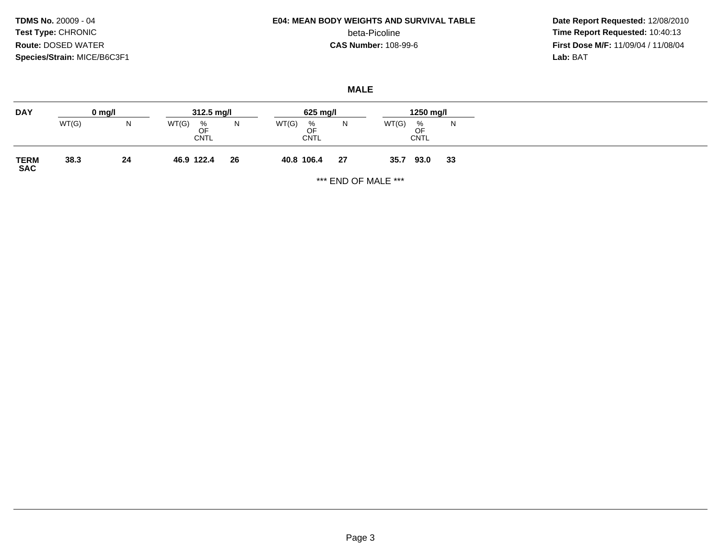# **E04: MEAN BODY WEIGHTS AND SURVIVAL TABLE**

beta-Picoline<br>CAS Number: 108-99-6

 **Date Report Requested:** 12/08/2010 **Time Report Requested:** 10:40:13 **First Dose M/F:** 11/09/04 / 11/08/04<br>Lab: BAT **Lab:** BAT

**MALE**

| WT(G)<br>WT(G)<br>WT(G)<br>WT(G)<br>N<br>N<br>%<br>N<br>%<br>%<br>N.<br>OF<br>OF<br>OF<br><b>CNTL</b><br><b>CNTL</b><br><b>CNTL</b><br>38.3<br>24<br>26<br>27<br>46.9 122.4<br>40.8 106.4<br>93.0<br>33<br>35.7 | <b>DAY</b>          | $0 \text{ mg/l}$ | $312.5 \text{ mg/l}$ |  | 625 mg/l |  |  | 1250 mg/l |  |  |
|-----------------------------------------------------------------------------------------------------------------------------------------------------------------------------------------------------------------|---------------------|------------------|----------------------|--|----------|--|--|-----------|--|--|
|                                                                                                                                                                                                                 |                     |                  |                      |  |          |  |  |           |  |  |
|                                                                                                                                                                                                                 | <b>TERM<br/>SAC</b> |                  |                      |  |          |  |  |           |  |  |

\*\*\* END OF MALE \*\*\*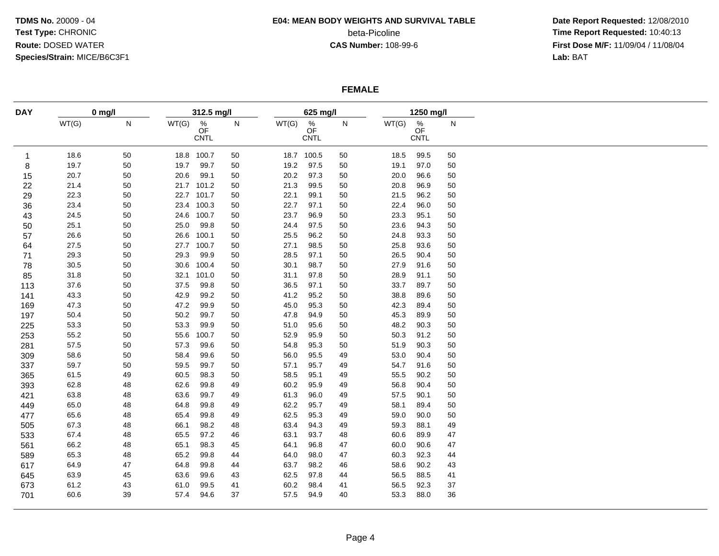#### **E04: MEAN BODY WEIGHTS AND SURVIVAL TABLE**

beta-Picoline<br>CAS Number: 108-99-6

 **Date Report Requested:** 12/08/2010 **Time Report Requested:** 10:40:13 **First Dose M/F:** 11/09/04 / 11/08/04<br>Lab: BAT **Lab:** BAT

#### **FEMALE**

| <b>DAY</b><br>$\mathbf{1}$<br>8 | WT(G)<br>18.6<br>19.7 | $0$ mg/l<br>${\sf N}$<br>50 | WT(G) | 312.5 mg/l<br>$\frac{\%}{\text{OF}}$ | N  |       | 625 mg/l                       |           |       | 1250 mg/l                      |           |
|---------------------------------|-----------------------|-----------------------------|-------|--------------------------------------|----|-------|--------------------------------|-----------|-------|--------------------------------|-----------|
|                                 |                       |                             |       | CNTL                                 |    | WT(G) | $\frac{\%}{\text{OF}}$<br>CNTL | ${\sf N}$ | WT(G) | $\frac{\%}{\text{OF}}$<br>CNTL | ${\sf N}$ |
|                                 |                       |                             | 18.8  | 100.7                                | 50 |       | 18.7 100.5                     | 50        | 18.5  | 99.5                           | 50        |
|                                 |                       | 50                          | 19.7  | 99.7                                 | 50 | 19.2  | 97.5                           | 50        | 19.1  | 97.0                           | 50        |
| 15                              | 20.7                  | 50                          | 20.6  | 99.1                                 | 50 | 20.2  | 97.3                           | $50\,$    | 20.0  | 96.6                           | 50        |
| 22                              | 21.4                  | 50                          |       | 21.7 101.2                           | 50 | 21.3  | 99.5                           | 50        | 20.8  | 96.9                           | 50        |
| 29                              | 22.3                  | 50                          |       | 22.7 101.7                           | 50 | 22.1  | 99.1                           | $50\,$    | 21.5  | 96.2                           | 50        |
| 36                              | 23.4                  | 50                          |       | 23.4 100.3                           | 50 | 22.7  | 97.1                           | $50\,$    | 22.4  | 96.0                           | 50        |
| 43                              | 24.5                  | 50                          |       | 24.6 100.7                           | 50 | 23.7  | 96.9                           | 50        | 23.3  | 95.1                           | 50        |
| 50                              | 25.1                  | 50                          | 25.0  | 99.8                                 | 50 | 24.4  | 97.5                           | $50\,$    | 23.6  | 94.3                           | 50        |
| 57                              | 26.6                  | 50                          | 26.6  | 100.1                                | 50 | 25.5  | 96.2                           | $50\,$    | 24.8  | 93.3                           | 50        |
| 64                              | 27.5                  | 50                          | 27.7  | 100.7                                | 50 | 27.1  | 98.5                           | 50        | 25.8  | 93.6                           | 50        |
| 71                              | 29.3                  | 50                          | 29.3  | 99.9                                 | 50 | 28.5  | 97.1                           | $50\,$    | 26.5  | 90.4                           | 50        |
| 78                              | 30.5                  | 50                          | 30.6  | 100.4                                | 50 | 30.1  | 98.7                           | 50        | 27.9  | 91.6                           | 50        |
| 85                              | 31.8                  | 50                          | 32.1  | 101.0                                | 50 | 31.1  | 97.8                           | 50        | 28.9  | 91.1                           | 50        |
| 113                             | 37.6                  | 50                          | 37.5  | 99.8                                 | 50 | 36.5  | 97.1                           | 50        | 33.7  | 89.7                           | 50        |
| 141                             | 43.3                  | 50                          | 42.9  | 99.2                                 | 50 | 41.2  | 95.2                           | 50        | 38.8  | 89.6                           | 50        |
| 169                             | 47.3                  | 50                          | 47.2  | 99.9                                 | 50 | 45.0  | 95.3                           | 50        | 42.3  | 89.4                           | 50        |
| 197                             | 50.4                  | 50                          | 50.2  | 99.7                                 | 50 | 47.8  | 94.9                           | $50\,$    | 45.3  | 89.9                           | 50        |
| 225                             | 53.3                  | 50                          | 53.3  | 99.9                                 | 50 | 51.0  | 95.6                           | 50        | 48.2  | 90.3                           | 50        |
| 253                             | 55.2                  | 50                          | 55.6  | 100.7                                | 50 | 52.9  | 95.9                           | 50        | 50.3  | 91.2                           | 50        |
| 281                             | 57.5                  | 50                          | 57.3  | 99.6                                 | 50 | 54.8  | 95.3                           | $50\,$    | 51.9  | 90.3                           | 50        |
| 309                             | 58.6                  | 50                          | 58.4  | 99.6                                 | 50 | 56.0  | 95.5                           | 49        | 53.0  | 90.4                           | 50        |
| 337                             | 59.7                  | $50\,$                      | 59.5  | 99.7                                 | 50 | 57.1  | 95.7                           | 49        | 54.7  | 91.6                           | 50        |
| 365                             | 61.5                  | 49                          | 60.5  | 98.3                                 | 50 | 58.5  | 95.1                           | 49        | 55.5  | 90.2                           | 50        |
| 393                             | 62.8                  | 48                          | 62.6  | 99.8                                 | 49 | 60.2  | 95.9                           | 49        | 56.8  | 90.4                           | 50        |
| 421                             | 63.8                  | 48                          | 63.6  | 99.7                                 | 49 | 61.3  | 96.0                           | 49        | 57.5  | 90.1                           | 50        |
| 449                             | 65.0                  | 48                          | 64.8  | 99.8                                 | 49 | 62.2  | 95.7                           | 49        | 58.1  | 89.4                           | 50        |
| 477                             | 65.6                  | 48                          | 65.4  | 99.8                                 | 49 | 62.5  | 95.3                           | 49        | 59.0  | 90.0                           | 50        |
| 505                             | 67.3                  | 48                          | 66.1  | 98.2                                 | 48 | 63.4  | 94.3                           | 49        | 59.3  | 88.1                           | 49        |
| 533                             | 67.4                  | 48                          | 65.5  | 97.2                                 | 46 | 63.1  | 93.7                           | 48        | 60.6  | 89.9                           | 47        |
| 561                             | 66.2                  | 48                          | 65.1  | 98.3                                 | 45 | 64.1  | 96.8                           | 47        | 60.0  | 90.6                           | 47        |
| 589                             | 65.3                  | 48                          | 65.2  | 99.8                                 | 44 | 64.0  | 98.0                           | 47        | 60.3  | 92.3                           | 44        |
| 617                             | 64.9                  | 47                          | 64.8  | 99.8                                 | 44 | 63.7  | 98.2                           | 46        | 58.6  | 90.2                           | 43        |
| 645                             | 63.9                  | 45                          | 63.6  | 99.6                                 | 43 | 62.5  | 97.8                           | 44        | 56.5  | 88.5                           | 41        |
| 673                             | 61.2                  | 43                          | 61.0  | 99.5                                 | 41 | 60.2  | 98.4                           | 41        | 56.5  | 92.3                           | 37        |
| 701                             | 60.6                  | 39                          | 57.4  | 94.6                                 | 37 | 57.5  | 94.9                           | 40        | 53.3  | 88.0                           | 36        |